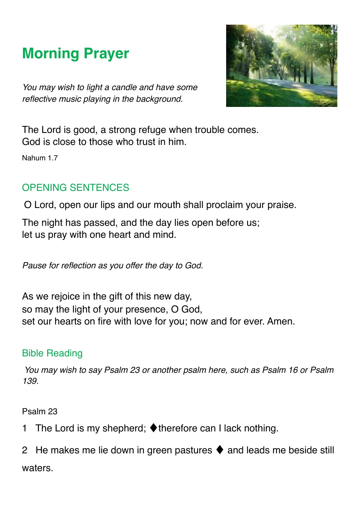# **Morning Prayer**

*You may wish to light a candle and have some reflective music playing in the background.* 



The Lord is good, a strong refuge when trouble comes. God is close to those who trust in him.

Nahum 1.7

## OPENING SENTENCES

O Lord, open our lips and our mouth shall proclaim your praise.

The night has passed, and the day lies open before us; let us pray with one heart and mind.

*Pause for reflection as you offer the day to God.* 

As we rejoice in the gift of this new day, so may the light of your presence, O God, set our hearts on fire with love for you; now and for ever. Amen.

## Bible Reading

*You may wish to say Psalm 23 or another psalm here, such as Psalm 16 or Psalm 139.* 

Psalm 23

1 The Lord is my shepherd; ♦therefore can I lack nothing.

2 He makes me lie down in green pastures  $\blacklozenge$  and leads me beside still waters.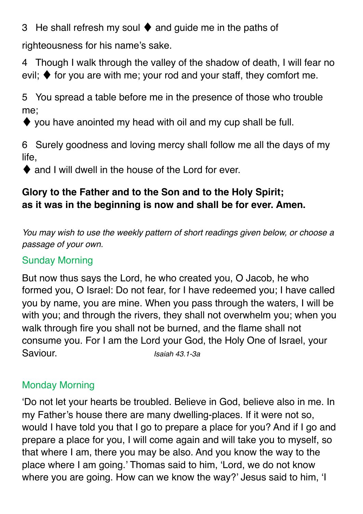3 He shall refresh my soul ♦ and guide me in the paths of

righteousness for his name's sake.

4 Though I walk through the valley of the shadow of death, I will fear no evil;  $\blacklozenge$  for you are with me; your rod and your staff, they comfort me.

5 You spread a table before me in the presence of those who trouble me;

 $\blacklozenge$  you have anointed my head with oil and my cup shall be full.

6 Surely goodness and loving mercy shall follow me all the days of my life,

♦ and I will dwell in the house of the Lord for ever.

# **Glory to the Father and to the Son and to the Holy Spirit; as it was in the beginning is now and shall be for ever. Amen.**

*You may wish to use the weekly pattern of short readings given below, or choose a passage of your own.* 

# Sunday Morning

But now thus says the Lord, he who created you, O Jacob, he who formed you, O Israel: Do not fear, for I have redeemed you; I have called you by name, you are mine. When you pass through the waters, I will be with you; and through the rivers, they shall not overwhelm you; when you walk through fire you shall not be burned, and the flame shall not consume you. For I am the Lord your God, the Holy One of Israel, your Saviour. *Isaiah 43.1-3a* 

## Monday Morning

'Do not let your hearts be troubled. Believe in God, believe also in me. In my Father's house there are many dwelling-places. If it were not so, would I have told you that I go to prepare a place for you? And if I go and prepare a place for you, I will come again and will take you to myself, so that where I am, there you may be also. And you know the way to the place where I am going.' Thomas said to him, 'Lord, we do not know where you are going. How can we know the way?' Jesus said to him, 'I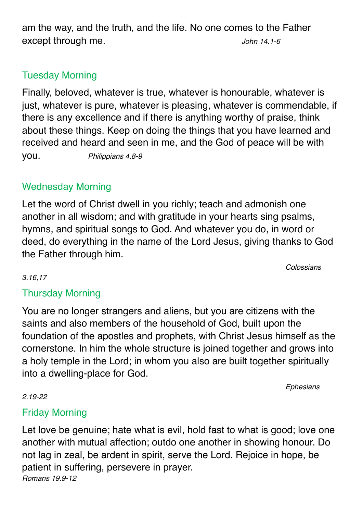am the way, and the truth, and the life. No one comes to the Father except through me. *John 14.1-6* 

## Tuesday Morning

Finally, beloved, whatever is true, whatever is honourable, whatever is just, whatever is pure, whatever is pleasing, whatever is commendable, if there is any excellence and if there is anything worthy of praise, think about these things. Keep on doing the things that you have learned and received and heard and seen in me, and the God of peace will be with you. *Philippians 4.8-9*

## Wednesday Morning

Let the word of Christ dwell in you richly; teach and admonish one another in all wisdom; and with gratitude in your hearts sing psalms, hymns, and spiritual songs to God. And whatever you do, in word or deed, do everything in the name of the Lord Jesus, giving thanks to God the Father through him.

*Colossians* 

#### *3.16,17*

## Thursday Morning

You are no longer strangers and aliens, but you are citizens with the saints and also members of the household of God, built upon the foundation of the apostles and prophets, with Christ Jesus himself as the cornerstone. In him the whole structure is joined together and grows into a holy temple in the Lord; in whom you also are built together spiritually into a dwelling-place for God.

*Ephesians* 

#### *2.19-22*

## Friday Morning

Let love be genuine; hate what is evil, hold fast to what is good; love one another with mutual affection; outdo one another in showing honour. Do not lag in zeal, be ardent in spirit, serve the Lord. Rejoice in hope, be patient in suffering, persevere in prayer. *Romans 19.9-12*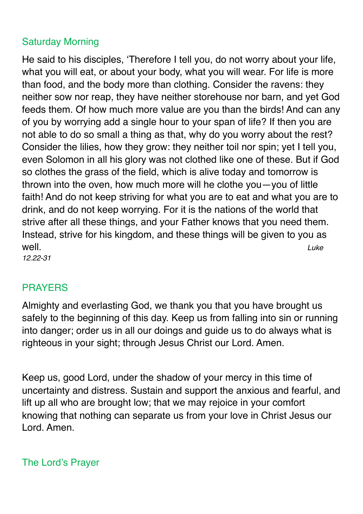## Saturday Morning

He said to his disciples, 'Therefore I tell you, do not worry about your life, what you will eat, or about your body, what you will wear. For life is more than food, and the body more than clothing. Consider the ravens: they neither sow nor reap, they have neither storehouse nor barn, and yet God feeds them. Of how much more value are you than the birds! And can any of you by worrying add a single hour to your span of life? If then you are not able to do so small a thing as that, why do you worry about the rest? Consider the lilies, how they grow: they neither toil nor spin; yet I tell you, even Solomon in all his glory was not clothed like one of these. But if God so clothes the grass of the field, which is alive today and tomorrow is thrown into the oven, how much more will he clothe you—you of little faith! And do not keep striving for what you are to eat and what you are to drink, and do not keep worrying. For it is the nations of the world that strive after all these things, and your Father knows that you need them. Instead, strive for his kingdom, and these things will be given to you as well. *Luke* 

*12.22-31*

## PRAYERS

Almighty and everlasting God, we thank you that you have brought us safely to the beginning of this day. Keep us from falling into sin or running into danger; order us in all our doings and guide us to do always what is righteous in your sight; through Jesus Christ our Lord. Amen.

Keep us, good Lord, under the shadow of your mercy in this time of uncertainty and distress. Sustain and support the anxious and fearful, and lift up all who are brought low; that we may rejoice in your comfort knowing that nothing can separate us from your love in Christ Jesus our Lord. Amen.

The Lord's Prayer